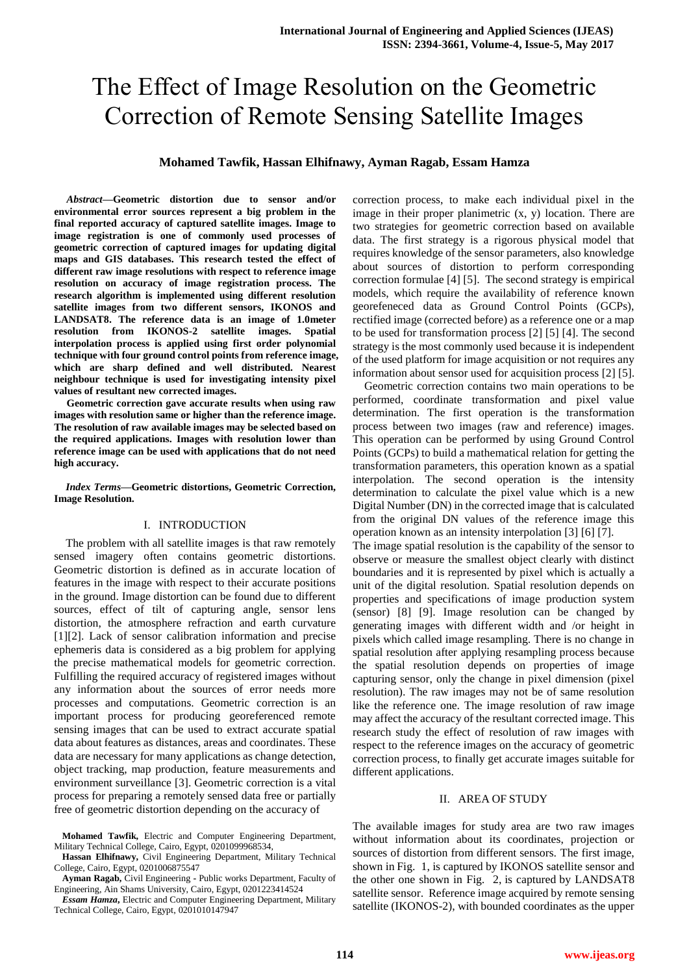# The Effect of Image Resolution on the Geometric Correction of Remote Sensing Satellite Images

## **Mohamed Tawfik, Hassan Elhifnawy, Ayman Ragab, Essam Hamza**

*Abstract***—Geometric distortion due to sensor and/or environmental error sources represent a big problem in the final reported accuracy of captured satellite images. Image to image registration is one of commonly used processes of geometric correction of captured images for updating digital maps and GIS databases. This research tested the effect of different raw image resolutions with respect to reference image resolution on accuracy of image registration process. The research algorithm is implemented using different resolution satellite images from two different sensors, IKONOS and LANDSAT8. The reference data is an image of 1.0meter resolution from IKONOS-2 satellite images. Spatial interpolation process is applied using first order polynomial technique with four ground control points from reference image, which are sharp defined and well distributed. Nearest neighbour technique is used for investigating intensity pixel values of resultant new corrected images.** 

**Geometric correction gave accurate results when using raw images with resolution same or higher than the reference image. The resolution of raw available images may be selected based on the required applications. Images with resolution lower than reference image can be used with applications that do not need high accuracy.** 

*Index Terms***—Geometric distortions, Geometric Correction, Image Resolution.**

#### I. INTRODUCTION

The problem with all satellite images is that raw remotely sensed imagery often contains geometric distortions. Geometric distortion is defined as in accurate location of features in the image with respect to their accurate positions in the ground. Image distortion can be found due to different sources, effect of tilt of capturing angle, sensor lens distortion, the atmosphere refraction and earth curvature [\[1\]](#page-6-0)[\[2\]](#page-6-1). Lack of sensor calibration information and precise ephemeris data is considered as a big problem for applying the precise mathematical models for geometric correction. Fulfilling the required accuracy of registered images without any information about the sources of error needs more processes and computations. Geometric correction is an important process for producing georeferenced remote sensing images that can be used to extract accurate spatial data about features as distances, areas and coordinates. These data are necessary for many applications as change detection, object tracking, map production, feature measurements and environment surveillance [\[3\]](#page-6-2). Geometric correction is a vital process for preparing a remotely sensed data free or partially free of geometric distortion depending on the accuracy of

**Hassan Elhifnawy,** Civil Engineering Department, Military Technical College, Cairo, Egypt, 0201006875547

correction process, to make each individual pixel in the image in their proper planimetric (x, y) location. There are two strategies for geometric correction based on available data. The first strategy is a rigorous physical model that requires knowledge of the sensor parameters, also knowledge about sources of distortion to perform corresponding correction formulae [\[4\]](#page-6-3) [\[5\]](#page-7-0). The second strategy is empirical models, which require the availability of reference known georefeneced data as Ground Control Points (GCPs), rectified image (corrected before) as a reference one or a map to be used for transformation process [\[2\]](#page-6-1) [\[5\]](#page-7-0) [\[4\]](#page-6-3). The second strategy is the most commonly used because it is independent of the used platform for image acquisition or not requires any information about sensor used for acquisition process [\[2\]](#page-6-1) [\[5\]](#page-7-0).

Geometric correction contains two main operations to be performed, coordinate transformation and pixel value determination. The first operation is the transformation process between two images (raw and reference) images. This operation can be performed by using Ground Control Points (GCPs) to build a mathematical relation for getting the transformation parameters, this operation known as a spatial interpolation. The second operation is the intensity determination to calculate the pixel value which is a new Digital Number (DN) in the corrected image that is calculated from the original DN values of the reference image this operation known as an intensity interpolation [\[3\]](#page-6-2) [\[6\]](#page-7-1) [\[7\]](#page-7-2).

The image spatial resolution is the capability of the sensor to observe or measure the smallest object clearly with distinct boundaries and it is represented by pixel which is actually a unit of the digital resolution. Spatial resolution depends on properties and specifications of image production system (sensor) [\[8\]](#page-7-3) [\[9\]](#page-7-4). Image resolution can be changed by generating images with different width and /or height in pixels which called image resampling. There is no change in spatial resolution after applying resampling process because the spatial resolution depends on properties of image capturing sensor, only the change in pixel dimension (pixel resolution). The raw images may not be of same resolution like the reference one. The image resolution of raw image may affect the accuracy of the resultant corrected image. This research study the effect of resolution of raw images with respect to the reference images on the accuracy of geometric correction process, to finally get accurate images suitable for different applications.

#### II. AREA OF STUDY

The available images for study area are two raw images without information about its coordinates, projection or sources of distortion from different sensors. The first image, shown in [Fig. 1,](#page-1-0) is captured by IKONOS satellite sensor and the other one shown in [Fig. 2,](#page-1-1) is captured by LANDSAT8 satellite sensor. Reference image acquired by remote sensing satellite (IKONOS-2), with bounded coordinates as the upper

**Mohamed Tawfik,** Electric and Computer Engineering Department, Military Technical College, Cairo, Egypt, 0201099968534,

**Ayman Ragab,** Civil Engineering **-** Public works Department, Faculty of Engineering, Ain Shams University, Cairo, Egypt, 0201223414524

*Essam Hamza***,** Electric and Computer Engineering Department, Military Technical College, Cairo, Egypt, 0201010147947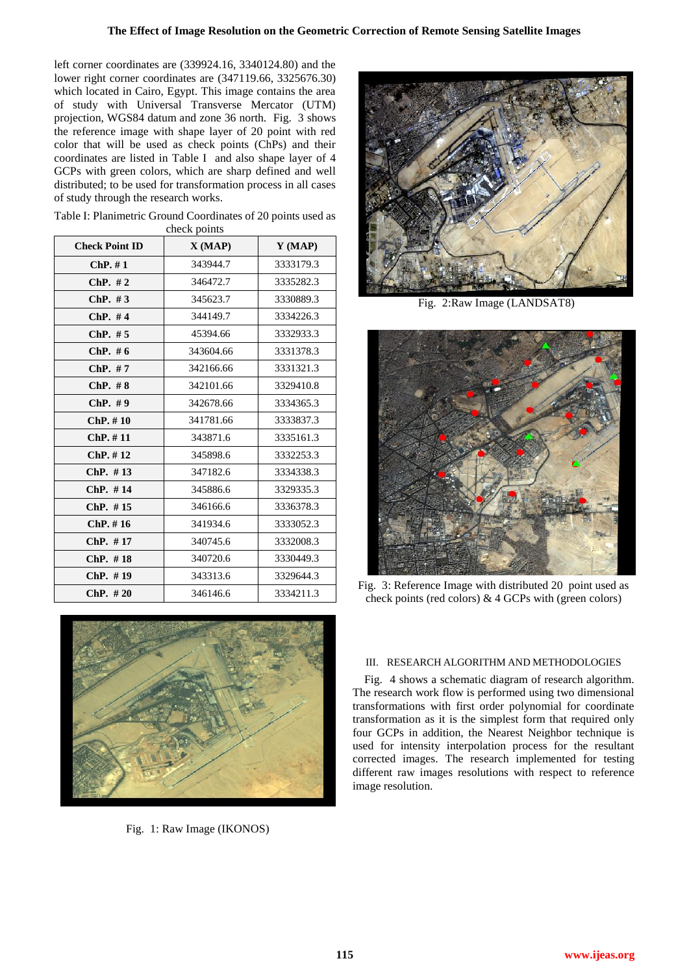left corner coordinates are (339924.16, 3340124.80) and the lower right corner coordinates are (347119.66, 3325676.30) which located in Cairo, Egypt. This image contains the area of study with Universal Transverse Mercator (UTM) projection, WGS84 datum and zone 36 north. [Fig. 3](#page-1-2) shows the reference image with shape layer of 20 point with red color that will be used as check points (ChPs) and their coordinates are listed in [Table I](#page-1-3) and also shape layer of 4 GCPs with green colors, which are sharp defined and well distributed; to be used for transformation process in all cases of study through the research works.

| <b>Check Point ID</b> | лноок ронны<br>X(MAP) | $Y$ (MAP) |
|-----------------------|-----------------------|-----------|
| $ChP. \# 1$           | 343944.7              | 3333179.3 |
| $ChP. \#2$            | 346472.7              | 3335282.3 |
| ChP. $#3$             | 345623.7              | 3330889.3 |
| ChP. $#4$             | 344149.7              | 3334226.3 |
| ChP. $#5$             | 45394.66              | 3332933.3 |
| ChP.~#6               | 343604.66             | 3331378.3 |
| $ChP. \#7$            | 342166.66             | 3331321.3 |
| $ChP. \# 8$           | 342101.66             | 3329410.8 |
| $ChP. \#9$            | 342678.66             | 3334365.3 |
| $ChP. \# 10$          | 341781.66             | 3333837.3 |
| $ChP. \# 11$          | 343871.6              | 3335161.3 |
| $ChP. \# 12$          | 345898.6              | 3332253.3 |
| ChP. #13              | 347182.6              | 3334338.3 |
| ChP. #14              | 345886.6              | 3329335.3 |
| $ChP. \#15$           | 346166.6              | 3336378.3 |
| $ChP. \# 16$          | 341934.6              | 3333052.3 |
| ChP. #17              | 340745.6              | 3332008.3 |
| $ChP. \#18$           | 340720.6              | 3330449.3 |
| $ChP. \#19$           | 343313.6              | 3329644.3 |
| ChP. #20              | 346146.6              | 3334211.3 |

<span id="page-1-3"></span>Table I: Planimetric Ground Coordinates of 20 points used as check points

<span id="page-1-0"></span>

Fig. 1: Raw Image (IKONOS)



Fig. 2:Raw Image (LANDSAT8)

<span id="page-1-1"></span>

Fig. 3: Reference Image with distributed 20 point used as check points (red colors) & 4 GCPs with (green colors)

## <span id="page-1-2"></span>III. RESEARCH ALGORITHM AND METHODOLOGIES

[Fig. 4](#page-2-0) shows a schematic diagram of research algorithm. The research work flow is performed using two dimensional transformations with first order polynomial for coordinate transformation as it is the simplest form that required only four GCPs in addition, the Nearest Neighbor technique is used for intensity interpolation process for the resultant corrected images. The research implemented for testing different raw images resolutions with respect to reference image resolution.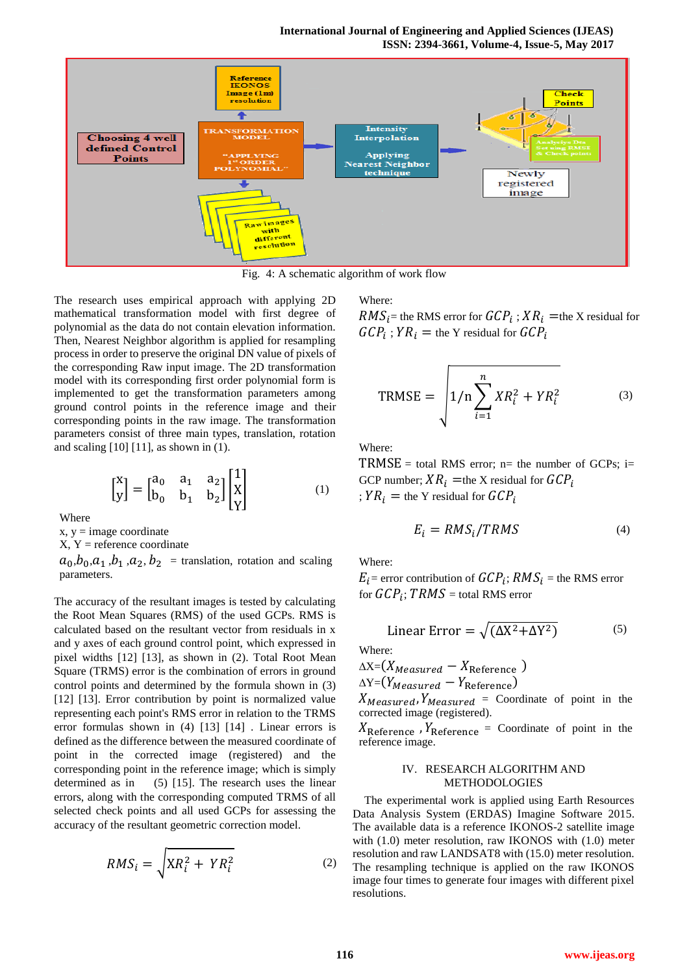

Fig. 4: A schematic algorithm of work flow

<span id="page-2-0"></span>The research uses empirical approach with applying 2D mathematical transformation model with first degree of polynomial as the data do not contain elevation information. Then, Nearest Neighbor algorithm is applied for resampling process in order to preserve the original DN value of pixels of the corresponding Raw input image. The 2D transformation model with its corresponding first order polynomial form is implemented to get the transformation parameters among ground control points in the reference image and their corresponding points in the raw image. The transformation parameters consist of three main types, translation, rotation and scaling [\[10\]](#page-7-5) [\[11\]](#page-7-6), as shown in [\(1\).](#page-2-1)

$$
\begin{bmatrix} x \\ y \end{bmatrix} = \begin{bmatrix} a_0 & a_1 & a_2 \\ b_0 & b_1 & b_2 \end{bmatrix} \begin{bmatrix} 1 \\ x \\ y \end{bmatrix}
$$
 (1)

 $-1$ 

Where

 $x, y = image coordinate$ 

 $X, Y$  = reference coordinate

 $a_0, b_0, a_1, b_1, a_2, b_2$  = translation, rotation and scaling parameters.

The accuracy of the resultant images is tested by calculating the Root Mean Squares (RMS) of the used GCPs. RMS is calculated based on the resultant vector from residuals in x and y axes of each ground control point, which expressed in pixel widths [\[12\]](#page-7-7) [\[13\]](#page-7-8), as shown in [\(2\)](#page-2-2). Total Root Mean Square (TRMS) error is the combination of errors in ground control points and determined by the formula shown in [\(3\)](#page-2-3) [\[12\]](#page-7-7) [\[13\]](#page-7-8). Error contribution by point is normalized value representing each point's RMS error in relation to the TRMS error formulas shown in [\(4\)](#page-2-4) [\[13\]](#page-7-8) [\[14\]](#page-7-9) . Linear errors is defined as the difference between the measured coordinate of point in the corrected image (registered) and the corresponding point in the reference image; which is simply determined as in [\(5\)](#page-2-5) [\[15\]](#page-7-10). The research uses the linear errors, along with the corresponding computed TRMS of all selected check points and all used GCPs for assessing the accuracy of the resultant geometric correction model.

$$
RMS_i = \sqrt{XR_i^2 + YR_i^2}
$$
 (2)

Where:

 $RMS_i$  = the RMS error for  $GCP_i$ ;  $XR_i$  = the X residual for  $GCP_i$ ;  $YR_i$  = the Y residual for  $GCP_i$ 

<span id="page-2-3"></span>
$$
TRMSE = \sqrt{\frac{1}{n} \sum_{i=1}^{n} X R_i^2 + Y R_i^2}
$$
 (3)

Where:

<span id="page-2-1"></span> $TRMSE = total RMS error$ ; n= the number of GCPs; i= GCP number;  $XR_i$  =the X residual for  $GCP_i$ ;  $Y R_i$  = the Y residual for  $G C P_i$ 

<span id="page-2-5"></span><span id="page-2-4"></span>
$$
E_i = RMS_i / TRMS \tag{4}
$$

Where:

 $E_i$ = error contribution of  $GCP_i$ ;  $RMS_i$  = the RMS error for  $GCP_i$ ;  $TRMS$  = total RMS error

Linear Error = 
$$
\sqrt{(\Delta X^2 + \Delta Y^2)}
$$
 (5)

Where:

 $\Delta X = (X_{Measured} - X_{Reference})$  $\Delta Y = (Y_{Measured} - Y_{Reference})$ 

 $X_{Measured}$ ,  $Y_{Measured}$  = Coordinate of point in the corrected image (registered).

 $X_{\text{Reference}}$ ,  $Y_{\text{Reference}} =$  Coordinate of point in the reference image.

#### IV. RESEARCH ALGORITHM AND METHODOLOGIES

<span id="page-2-2"></span>The experimental work is applied using Earth Resources Data Analysis System (ERDAS) Imagine Software 2015. The available data is a reference IKONOS-2 satellite image with (1.0) meter resolution, raw IKONOS with (1.0) meter resolution and raw LANDSAT8 with (15.0) meter resolution. The resampling technique is applied on the raw IKONOS image four times to generate four images with different pixel resolutions.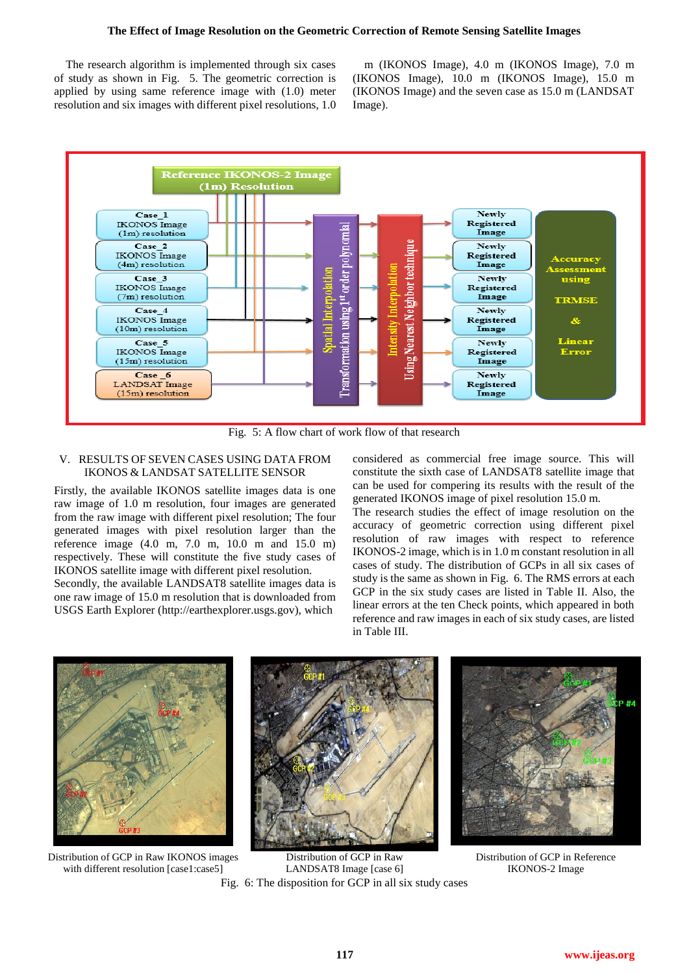### **The Effect of Image Resolution on the Geometric Correction of Remote Sensing Satellite Images**

The research algorithm is implemented through six cases of study as shown in [Fig. 5.](#page-3-0) The geometric correction is applied by using same reference image with (1.0) meter resolution and six images with different pixel resolutions, 1.0

m (IKONOS Image), 4.0 m (IKONOS Image), 7.0 m (IKONOS Image), 10.0 m (IKONOS Image), 15.0 m (IKONOS Image) and the seven case as 15.0 m (LANDSAT Image).



Fig. 5: A flow chart of work flow of that research

## <span id="page-3-0"></span>V. RESULTS OF SEVEN CASES USING DATA FROM IKONOS & LANDSAT SATELLITE SENSOR

Firstly, the available IKONOS satellite images data is one raw image of 1.0 m resolution, four images are generated from the raw image with different pixel resolution; The four generated images with pixel resolution larger than the reference image (4.0 m, 7.0 m, 10.0 m and 15.0 m) respectively. These will constitute the five study cases of IKONOS satellite image with different pixel resolution.

Secondly, the available LANDSAT8 satellite images data is one raw image of 15.0 m resolution that is downloaded from USGS Earth Explorer [\(http://earthexplorer.usgs.gov\)](http://earthexplorer.usgs.gov/), which

considered as commercial free image source. This will constitute the sixth case of LANDSAT8 satellite image that can be used for compering its results with the result of the generated IKONOS image of pixel resolution 15.0 m.

The research studies the effect of image resolution on the accuracy of geometric correction using different pixel resolution of raw images with respect to reference IKONOS-2 image, which is in 1.0 m constant resolution in all cases of study. The distribution of GCPs in all six cases of study is the same as shown in [Fig. 6.](#page-3-1) The RMS errors at each GCP in the six study cases are listed in [Table II.](#page-4-0) Also, the linear errors at the ten Check points, which appeared in both reference and raw images in each of six study cases, are listed in [Table III.](#page-4-1)



Distribution of GCP in Raw IKONOS images with different resolution [case1:case5]

<span id="page-3-1"></span>Distribution of GCP in Raw LANDSAT8 Image [case 6] Fig. 6: The disposition for GCP in all six study cases

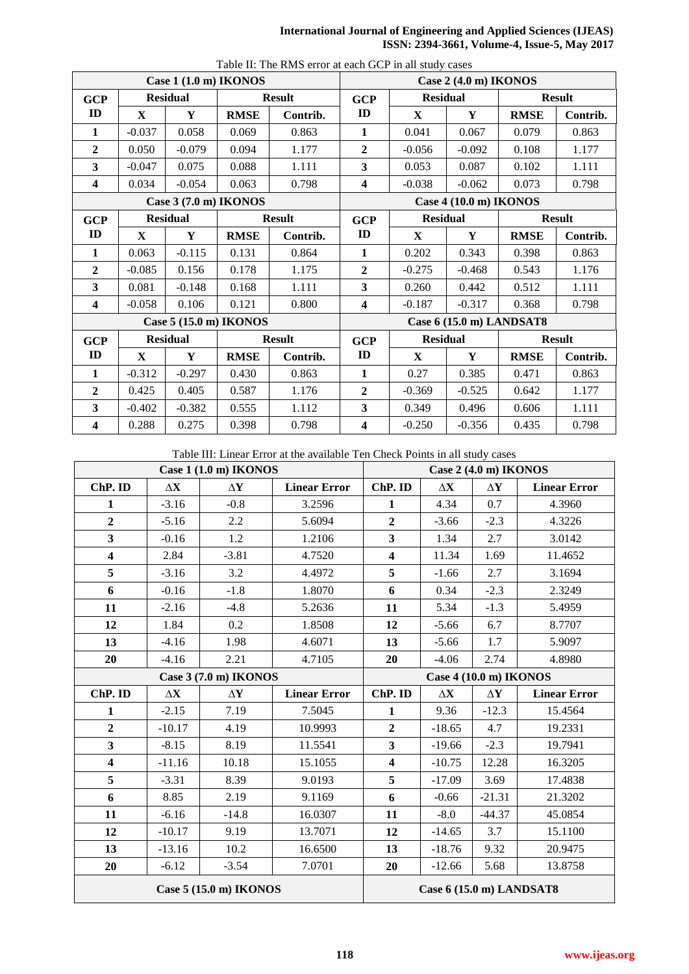## **International Journal of Engineering and Applied Sciences (IJEAS) ISSN: 2394-3661, Volume-4, Issue-5, May 2017**

<span id="page-4-0"></span>

| Case 1 (1.0 m) IKONOS   |             |                 |                        |               |                         | I dole II. The Kind citol at each OCI Th an study cases | Case 2 (4.0 m) IKONOS    |               |               |
|-------------------------|-------------|-----------------|------------------------|---------------|-------------------------|---------------------------------------------------------|--------------------------|---------------|---------------|
| <b>GCP</b>              |             | <b>Residual</b> |                        | <b>Result</b> | <b>GCP</b>              | <b>Residual</b>                                         |                          | <b>Result</b> |               |
| ID                      | X           | Y               | <b>RMSE</b>            | Contrib.      | ID                      | X                                                       | Y                        | <b>RMSE</b>   | Contrib.      |
| 1                       | $-0.037$    | 0.058           | 0.069                  | 0.863         | $\mathbf{1}$            | 0.041                                                   | 0.067                    | 0.079         | 0.863         |
| $\mathbf{2}$            | 0.050       | $-0.079$        | 0.094                  | 1.177         | $\overline{2}$          | $-0.056$                                                | $-0.092$                 | 0.108         | 1.177         |
| $\overline{\mathbf{3}}$ | $-0.047$    | 0.075           | 0.088                  | 1.111         | 3                       | 0.053                                                   | 0.087                    | 0.102         | 1.111         |
| 4                       | 0.034       | $-0.054$        | 0.063                  | 0.798         | 4                       | $-0.038$                                                | $-0.062$                 | 0.073         | 0.798         |
| Case 3 (7.0 m) IKONOS   |             |                 |                        |               |                         | Case 4 (10.0 m) IKONOS                                  |                          |               |               |
| <b>GCP</b>              |             | <b>Residual</b> |                        | <b>Result</b> | <b>GCP</b>              | <b>Residual</b>                                         |                          | <b>Result</b> |               |
| ID                      | X           | Y               | <b>RMSE</b>            | Contrib.      | ID                      | X                                                       | Y                        | <b>RMSE</b>   | Contrib.      |
| 1                       | 0.063       | $-0.115$        | 0.131                  | 0.864         | 1                       | 0.202                                                   | 0.343                    | 0.398         | 0.863         |
| $\overline{2}$          | $-0.085$    | 0.156           | 0.178                  | 1.175         | $\overline{2}$          | $-0.275$                                                | $-0.468$                 | 0.543         | 1.176         |
| 3                       | 0.081       | $-0.148$        | 0.168                  | 1.111         | 3                       | 0.260                                                   | 0.442                    | 0.512         | 1.111         |
| $\overline{\mathbf{4}}$ | $-0.058$    | 0.106           | 0.121                  | 0.800         | $\overline{\mathbf{4}}$ | $-0.187$                                                | $-0.317$                 | 0.368         | 0.798         |
|                         |             |                 | Case 5 (15.0 m) IKONOS |               |                         |                                                         | Case 6 (15.0 m) LANDSAT8 |               |               |
| <b>GCP</b>              |             | <b>Residual</b> |                        | <b>Result</b> | <b>GCP</b>              | <b>Residual</b>                                         |                          |               | <b>Result</b> |
| ID                      | $\mathbf X$ | Y               | <b>RMSE</b>            | Contrib.      | ID                      | $\mathbf{X}$                                            | Y                        | <b>RMSE</b>   | Contrib.      |
| $\mathbf{1}$            | $-0.312$    | $-0.297$        | 0.430                  | 0.863         | $\mathbf{1}$            | 0.27                                                    | 0.385                    | 0.471         | 0.863         |
| $\overline{2}$          | 0.425       | 0.405           | 0.587                  | 1.176         | $\boldsymbol{2}$        | $-0.369$                                                | $-0.525$                 | 0.642         | 1.177         |
| 3                       | $-0.402$    | $-0.382$        | 0.555                  | 1.112         | 3                       | 0.349                                                   | 0.496                    | 0.606         | 1.111         |
| 4                       | 0.288       | 0.275           | 0.398                  | 0.798         | $\overline{\mathbf{4}}$ | $-0.250$                                                | $-0.356$                 | 0.435         | 0.798         |

Table II: The RMS error at each GCP in all study cases

Table III: Linear Error at the available Ten Check Points in all study cases

<span id="page-4-1"></span>

| Case 1 (1.0 m) IKONOS   |                     |                       |                     | Case 2 (4.0 m) IKONOS   |                          |                     |                     |
|-------------------------|---------------------|-----------------------|---------------------|-------------------------|--------------------------|---------------------|---------------------|
| ChP. ID                 | $\Delta \mathbf{X}$ | $\Delta \mathbf{Y}$   | <b>Linear Error</b> | ChP. ID                 | $\Delta\mathbf{X}$       | $\Delta Y$          | <b>Linear Error</b> |
| 1                       | $-3.16$             | $-0.8$                | 3.2596              | 1                       | 4.34                     | 0.7                 | 4.3960              |
| $\overline{2}$          | $-5.16$             | 2.2                   | 5.6094              | $\overline{2}$          | $-3.66$                  | $-2.3$              | 4.3226              |
| 3                       | $-0.16$             | 1.2                   | 1.2106              | $\overline{\mathbf{3}}$ | 1.34                     | 2.7                 | 3.0142              |
| $\overline{\mathbf{4}}$ | 2.84                | $-3.81$               | 4.7520              | $\overline{\mathbf{4}}$ | 11.34                    | 1.69                | 11.4652             |
| 5                       | $-3.16$             | 3.2                   | 4.4972              | 5                       | $-1.66$                  | 2.7                 | 3.1694              |
| 6                       | $-0.16$             | $-1.8$                | 1.8070              | 6                       | 0.34                     | $-2.3$              | 2.3249              |
| 11                      | $-2.16$             | $-4.8$                | 5.2636              | 11                      | 5.34                     | $-1.3$              | 5.4959              |
| 12                      | 1.84                | 0.2                   | 1.8508              | 12                      | $-5.66$                  | 6.7                 | 8.7707              |
| 13                      | $-4.16$             | 1.98                  | 4.6071              | 13                      | $-5.66$                  | 1.7                 | 5.9097              |
| 20                      | $-4.16$             | 2.21                  | 4.7105              | 20                      | $-4.06$                  | 2.74                | 4.8980              |
|                         |                     | Case 3 (7.0 m) IKONOS |                     | Case 4 (10.0 m) IKONOS  |                          |                     |                     |
| ChP. ID                 | $\Delta \mathbf{X}$ | $\Delta \mathbf{Y}$   | <b>Linear Error</b> | ChP. ID                 | $\Delta \mathbf{X}$      | $\Delta \mathbf{Y}$ | <b>Linear Error</b> |
| $\mathbf{1}$            | $-2.15$             | 7.19                  | 7.5045              | $\mathbf{1}$            | 9.36                     | $-12.3$             | 15.4564             |
| $\overline{2}$          | $-10.17$            | 4.19                  | 10.9993             | $\overline{2}$          | $-18.65$                 | 4.7                 | 19.2331             |
| $\overline{\mathbf{3}}$ | $-8.15$             | 8.19                  | 11.5541             | $\overline{\mathbf{3}}$ | $-19.66$                 | $-2.3$              | 19.7941             |
| 4                       | $-11.16$            | 10.18                 | 15.1055             | $\overline{\mathbf{4}}$ | $-10.75$                 | 12.28               | 16.3205             |
| 5                       | $-3.31$             | 8.39                  | 9.0193              | 5                       | $-17.09$                 | 3.69                | 17.4838             |
| 6                       | 8.85                | 2.19                  | 9.1169              | 6                       | $-0.66$                  | $-21.31$            | 21.3202             |
| 11                      | $-6.16$             | $-14.8$               | 16.0307             | 11                      | $-8.0$                   | $-44.37$            | 45.0854             |
| 12                      | $-10.17$            | 9.19                  | 13.7071             | 12                      | $-14.65$                 | 3.7                 | 15.1100             |
| 13                      | $-13.16$            | 10.2                  | 16.6500             | 13                      | $-18.76$                 | 9.32                | 20.9475             |
| 20                      | $-6.12$             | $-3.54$               | 7.0701              | 20                      | $-12.66$                 | 5.68                | 13.8758             |
| Case 5 (15.0 m) IKONOS  |                     |                       |                     |                         | Case 6 (15.0 m) LANDSAT8 |                     |                     |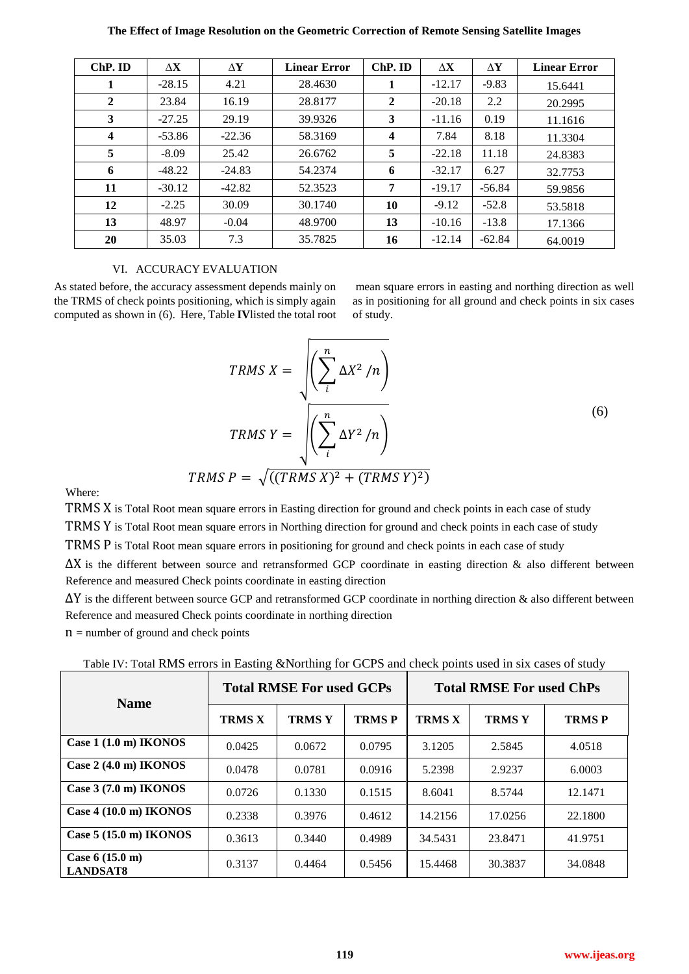| The Effect of Image Resolution on the Geometric Correction of Remote Sensing Satellite Images |  |  |  |  |
|-----------------------------------------------------------------------------------------------|--|--|--|--|
|                                                                                               |  |  |  |  |

| ChP. ID                 | $\Lambda$ <b>X</b> | ΔY       | <b>Linear Error</b> | ChP. ID                 | $\Delta X$ | $\Delta Y$ | <b>Linear Error</b> |
|-------------------------|--------------------|----------|---------------------|-------------------------|------------|------------|---------------------|
| 1                       | $-28.15$           | 4.21     | 28.4630             |                         | $-12.17$   | $-9.83$    | 15.6441             |
| $\overline{2}$          | 23.84              | 16.19    | 28.8177             | $\mathbf{2}$            | $-20.18$   | 2.2        | 20.2995             |
| 3                       | $-27.25$           | 29.19    | 39.9326             | 3                       | $-11.16$   | 0.19       | 11.1616             |
| $\overline{\mathbf{4}}$ | $-53.86$           | $-22.36$ | 58.3169             | $\overline{\mathbf{4}}$ | 7.84       | 8.18       | 11.3304             |
| 5                       | $-8.09$            | 25.42    | 26.6762             | 5                       | $-22.18$   | 11.18      | 24.8383             |
| 6                       | $-48.22$           | $-24.83$ | 54.2374             | 6                       | $-32.17$   | 6.27       | 32.7753             |
| 11                      | $-30.12$           | $-42.82$ | 52.3523             | 7                       | $-19.17$   | $-56.84$   | 59.9856             |
| 12                      | $-2.25$            | 30.09    | 30.1740             | 10                      | $-9.12$    | $-52.8$    | 53.5818             |
| 13                      | 48.97              | $-0.04$  | 48.9700             | 13                      | $-10.16$   | $-13.8$    | 17.1366             |
| 20                      | 35.03              | 7.3      | 35.7825             | 16                      | $-12.14$   | $-62.84$   | 64.0019             |

#### VI. ACCURACY EVALUATION

As stated before, the accuracy assessment depends mainly on the TRMS of check points positioning, which is simply again computed as shown i[n \(6\)](#page-5-0). Here, [Table](#page-5-1) **IV**listed the total root

<span id="page-5-0"></span>mean square errors in easting and northing direction as well as in positioning for all ground and check points in six cases of study.

$$
TRMS X = \sqrt{\left(\sum_{i}^{n} \Delta X^{2} / n\right)}
$$
  
 
$$
TRMS Y = \sqrt{\left(\sum_{i}^{n} \Delta Y^{2} / n\right)}
$$
  
 
$$
TRMS P = \sqrt{((TRMS X)^{2} + (TRMS Y)^{2})}
$$
 (6)

Where:

TRMS X is Total Root mean square errors in Easting direction for ground and check points in each case of study

TRMS Y is Total Root mean square errors in Northing direction for ground and check points in each case of study

TRMS P is Total Root mean square errors in positioning for ground and check points in each case of study

∆X is the different between source and retransformed GCP coordinate in easting direction & also different between Reference and measured Check points coordinate in easting direction

∆Y is the different between source GCP and retransformed GCP coordinate in northing direction & also different between Reference and measured Check points coordinate in northing direction

 $n =$  number of ground and check points

<span id="page-5-1"></span>

| <b>Name</b>                                 | <b>Total RMSE For used GCPs</b> |               |              | <b>Total RMSE For used ChPs</b> |              |              |
|---------------------------------------------|---------------------------------|---------------|--------------|---------------------------------|--------------|--------------|
|                                             | <b>TRMS X</b>                   | <b>TRMS Y</b> | <b>TRMSP</b> | <b>TRMS X</b>                   | <b>TRMSY</b> | <b>TRMSP</b> |
| Case $1(1.0 \text{ m})$ IKONOS              | 0.0425                          | 0.0672        | 0.0795       | 3.1205                          | 2.5845       | 4.0518       |
| Case $2(4.0 \text{ m})$ IKONOS              | 0.0478                          | 0.0781        | 0.0916       | 5.2398                          | 2.9237       | 6.0003       |
| Case $3(7.0 \text{ m})$ IKONOS              | 0.0726                          | 0.1330        | 0.1515       | 8.6041                          | 8.5744       | 12.1471      |
| Case $4(10.0 \text{ m})$ IKONOS             | 0.2338                          | 0.3976        | 0.4612       | 14.2156                         | 17.0256      | 22.1800      |
| Case $5(15.0 \text{ m})$ IKONOS             | 0.3613                          | 0.3440        | 0.4989       | 34.5431                         | 23.8471      | 41.9751      |
| Case $6(15.0 \text{ m})$<br><b>LANDSAT8</b> | 0.3137                          | 0.4464        | 0.5456       | 15.4468                         | 30.3837      | 34.0848      |

Table IV: Total RMS errors in Easting &Northing for GCPS and check points used in six cases of study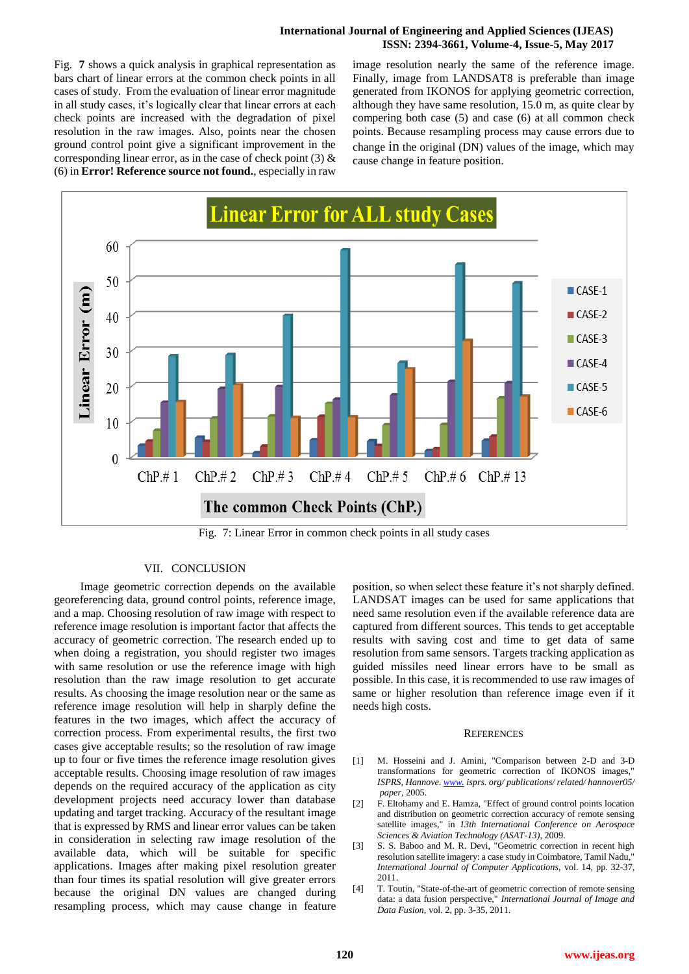## **International Journal of Engineering and Applied Sciences (IJEAS) ISSN: 2394-3661, Volume-4, Issue-5, May 2017**

[Fig.](#page-6-4) **7** shows a quick analysis in graphical representation as bars chart of linear errors at the common check points in all cases of study. From the evaluation of linear error magnitude in all study cases, it's logically clear that linear errors at each check points are increased with the degradation of pixel resolution in the raw images. Also, points near the chosen ground control point give a significant improvement in the corresponding linear error, as in the case of check point  $(3)$  & (6) in **Error! Reference source not found.**, especially in raw <span id="page-6-4"></span>image resolution nearly the same of the reference image. Finally, image from LANDSAT8 is preferable than image generated from IKONOS for applying geometric correction, although they have same resolution, 15.0 m, as quite clear by compering both case (5) and case (6) at all common check points. Because resampling process may cause errors due to change in the original (DN) values of the image, which may cause change in feature position.



Fig. 7: Linear Error in common check points in all study cases

#### VII. CONCLUSION

 Image geometric correction depends on the available georeferencing data, ground control points, reference image, and a map. Choosing resolution of raw image with respect to reference image resolution is important factor that affects the accuracy of geometric correction. The research ended up to when doing a registration, you should register two images with same resolution or use the reference image with high resolution than the raw image resolution to get accurate results. As choosing the image resolution near or the same as reference image resolution will help in sharply define the features in the two images, which affect the accuracy of correction process. From experimental results, the first two cases give acceptable results; so the resolution of raw image up to four or five times the reference image resolution gives acceptable results. Choosing image resolution of raw images depends on the required accuracy of the application as city development projects need accuracy lower than database updating and target tracking. Accuracy of the resultant image that is expressed by RMS and linear error values can be taken in consideration in selecting raw image resolution of the available data, which will be suitable for specific applications. Images after making pixel resolution greater than four times its spatial resolution will give greater errors because the original DN values are changed during resampling process, which may cause change in feature position, so when select these feature it's not sharply defined. LANDSAT images can be used for same applications that need same resolution even if the available reference data are captured from different sources. This tends to get acceptable results with saving cost and time to get data of same resolution from same sensors. Targets tracking application as guided missiles need linear errors have to be small as possible. In this case, it is recommended to use raw images of same or higher resolution than reference image even if it needs high costs.

#### **REFERENCES**

- <span id="page-6-0"></span>[1] M. Hosseini and J. Amini, "Comparison between 2-D and 3-D transformations for geometric correction of IKONOS images," *ISPRS, Hannove[. www.](http://www.​) isprs. org/ publications/ related/ hannover05/ paper,* 2005.
- <span id="page-6-1"></span>[2] F. Eltohamy and E. Hamza, "Effect of ground control points location and distribution on geometric correction accuracy of remote sensing satellite images," in *13th International Conference on Aerospace Sciences & Aviation Technology (ASAT-13)*, 2009.
- <span id="page-6-2"></span>[3] S. S. Baboo and M. R. Devi, "Geometric correction in recent high resolution satellite imagery: a case study in Coimbatore, Tamil Nadu," *International Journal of Computer Applications,* vol. 14, pp. 32-37, 2011.
- <span id="page-6-3"></span>[4] T. Toutin, "State-of-the-art of geometric correction of remote sensing data: a data fusion perspective," *International Journal of Image and Data Fusion,* vol. 2, pp. 3-35, 2011.